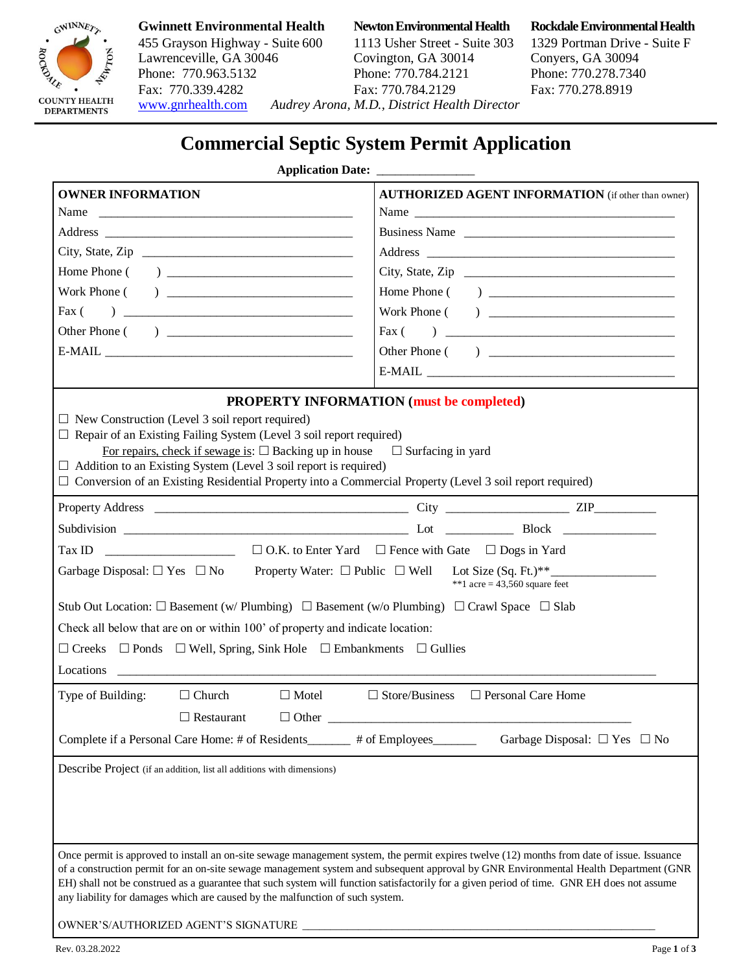

# 455 Grayson Highway - Suite 600 1113 Usher Street - Suite 303 1329 Portman Drive - Suite F Lawrenceville, GA 30046 Covington, GA 30014 Conyers, GA 30094 Phone: 770.963.5132 Phone: 770.784.2121 Phone: 770.278.7340<br>Fax: 770.339.4282 Fax: 770.784.2129 Fax: 770.278.8919 Fax: 770.339.4282

[www.gnrhealth.com](http://www.gnrhealth.com/) *Audrey Arona, M.D., District Health Director* 

## **Gwinnett Environmental Health Newton Environmental Health Rockdale Environmental Health**

# **Commercial Septic System Permit Application**

### **Application Date:**

| Business Name<br><b>PROPERTY INFORMATION (must be completed)</b><br>$\Box$ New Construction (Level 3 soil report required)<br>$\Box$ Repair of an Existing Failing System (Level 3 soil report required)<br>For repairs, check if sewage is: $\Box$ Backing up in house $\Box$ Surfacing in yard<br>$\Box$ Addition to an Existing System (Level 3 soil report is required)<br>$\Box$ Conversion of an Existing Residential Property into a Commercial Property (Level 3 soil report required)<br>Garbage Disposal: $\Box$ Yes $\Box$ No Property Water: $\Box$ Public $\Box$ Well Lot Size (Sq. Ft.)**<br>**1 acre = $43,560$ square feet<br>Stub Out Location: $\square$ Basement (w/ Plumbing) $\square$ Basement (w/o Plumbing) $\square$ Crawl Space $\square$ Slab<br>Check all below that are on or within 100' of property and indicate location:<br>$\Box$ Creeks $\Box$ Ponds $\Box$ Well, Spring, Sink Hole $\Box$ Embankments $\Box$ Gullies<br>Locations |
|-----------------------------------------------------------------------------------------------------------------------------------------------------------------------------------------------------------------------------------------------------------------------------------------------------------------------------------------------------------------------------------------------------------------------------------------------------------------------------------------------------------------------------------------------------------------------------------------------------------------------------------------------------------------------------------------------------------------------------------------------------------------------------------------------------------------------------------------------------------------------------------------------------------------------------------------------------------------------|
|                                                                                                                                                                                                                                                                                                                                                                                                                                                                                                                                                                                                                                                                                                                                                                                                                                                                                                                                                                       |
|                                                                                                                                                                                                                                                                                                                                                                                                                                                                                                                                                                                                                                                                                                                                                                                                                                                                                                                                                                       |
|                                                                                                                                                                                                                                                                                                                                                                                                                                                                                                                                                                                                                                                                                                                                                                                                                                                                                                                                                                       |
|                                                                                                                                                                                                                                                                                                                                                                                                                                                                                                                                                                                                                                                                                                                                                                                                                                                                                                                                                                       |
|                                                                                                                                                                                                                                                                                                                                                                                                                                                                                                                                                                                                                                                                                                                                                                                                                                                                                                                                                                       |
|                                                                                                                                                                                                                                                                                                                                                                                                                                                                                                                                                                                                                                                                                                                                                                                                                                                                                                                                                                       |
|                                                                                                                                                                                                                                                                                                                                                                                                                                                                                                                                                                                                                                                                                                                                                                                                                                                                                                                                                                       |
|                                                                                                                                                                                                                                                                                                                                                                                                                                                                                                                                                                                                                                                                                                                                                                                                                                                                                                                                                                       |
|                                                                                                                                                                                                                                                                                                                                                                                                                                                                                                                                                                                                                                                                                                                                                                                                                                                                                                                                                                       |
|                                                                                                                                                                                                                                                                                                                                                                                                                                                                                                                                                                                                                                                                                                                                                                                                                                                                                                                                                                       |
|                                                                                                                                                                                                                                                                                                                                                                                                                                                                                                                                                                                                                                                                                                                                                                                                                                                                                                                                                                       |
|                                                                                                                                                                                                                                                                                                                                                                                                                                                                                                                                                                                                                                                                                                                                                                                                                                                                                                                                                                       |
|                                                                                                                                                                                                                                                                                                                                                                                                                                                                                                                                                                                                                                                                                                                                                                                                                                                                                                                                                                       |
|                                                                                                                                                                                                                                                                                                                                                                                                                                                                                                                                                                                                                                                                                                                                                                                                                                                                                                                                                                       |
|                                                                                                                                                                                                                                                                                                                                                                                                                                                                                                                                                                                                                                                                                                                                                                                                                                                                                                                                                                       |
|                                                                                                                                                                                                                                                                                                                                                                                                                                                                                                                                                                                                                                                                                                                                                                                                                                                                                                                                                                       |
|                                                                                                                                                                                                                                                                                                                                                                                                                                                                                                                                                                                                                                                                                                                                                                                                                                                                                                                                                                       |
|                                                                                                                                                                                                                                                                                                                                                                                                                                                                                                                                                                                                                                                                                                                                                                                                                                                                                                                                                                       |
|                                                                                                                                                                                                                                                                                                                                                                                                                                                                                                                                                                                                                                                                                                                                                                                                                                                                                                                                                                       |
|                                                                                                                                                                                                                                                                                                                                                                                                                                                                                                                                                                                                                                                                                                                                                                                                                                                                                                                                                                       |
|                                                                                                                                                                                                                                                                                                                                                                                                                                                                                                                                                                                                                                                                                                                                                                                                                                                                                                                                                                       |
|                                                                                                                                                                                                                                                                                                                                                                                                                                                                                                                                                                                                                                                                                                                                                                                                                                                                                                                                                                       |
|                                                                                                                                                                                                                                                                                                                                                                                                                                                                                                                                                                                                                                                                                                                                                                                                                                                                                                                                                                       |
| $\Box$ Store/Business $\Box$ Personal Care Home<br>Type of Building:<br>$\Box$ Church<br>$\Box$ Motel                                                                                                                                                                                                                                                                                                                                                                                                                                                                                                                                                                                                                                                                                                                                                                                                                                                                 |
| $\Box$ Restaurant<br>$\Box$ Other                                                                                                                                                                                                                                                                                                                                                                                                                                                                                                                                                                                                                                                                                                                                                                                                                                                                                                                                     |
| Complete if a Personal Care Home: # of Residents_______<br># of Employees_<br>Garbage Disposal: $\Box$ Yes $\Box$ No                                                                                                                                                                                                                                                                                                                                                                                                                                                                                                                                                                                                                                                                                                                                                                                                                                                  |
|                                                                                                                                                                                                                                                                                                                                                                                                                                                                                                                                                                                                                                                                                                                                                                                                                                                                                                                                                                       |
| Describe Project (if an addition, list all additions with dimensions)                                                                                                                                                                                                                                                                                                                                                                                                                                                                                                                                                                                                                                                                                                                                                                                                                                                                                                 |
|                                                                                                                                                                                                                                                                                                                                                                                                                                                                                                                                                                                                                                                                                                                                                                                                                                                                                                                                                                       |
|                                                                                                                                                                                                                                                                                                                                                                                                                                                                                                                                                                                                                                                                                                                                                                                                                                                                                                                                                                       |
|                                                                                                                                                                                                                                                                                                                                                                                                                                                                                                                                                                                                                                                                                                                                                                                                                                                                                                                                                                       |
| Once permit is approved to install an on-site sewage management system, the permit expires twelve (12) months from date of issue. Issuance                                                                                                                                                                                                                                                                                                                                                                                                                                                                                                                                                                                                                                                                                                                                                                                                                            |
| of a construction permit for an on-site sewage management system and subsequent approval by GNR Environmental Health Department (GNR                                                                                                                                                                                                                                                                                                                                                                                                                                                                                                                                                                                                                                                                                                                                                                                                                                  |
| EH) shall not be construed as a guarantee that such system will function satisfactorily for a given period of time. GNR EH does not assume                                                                                                                                                                                                                                                                                                                                                                                                                                                                                                                                                                                                                                                                                                                                                                                                                            |
| any liability for damages which are caused by the malfunction of such system.                                                                                                                                                                                                                                                                                                                                                                                                                                                                                                                                                                                                                                                                                                                                                                                                                                                                                         |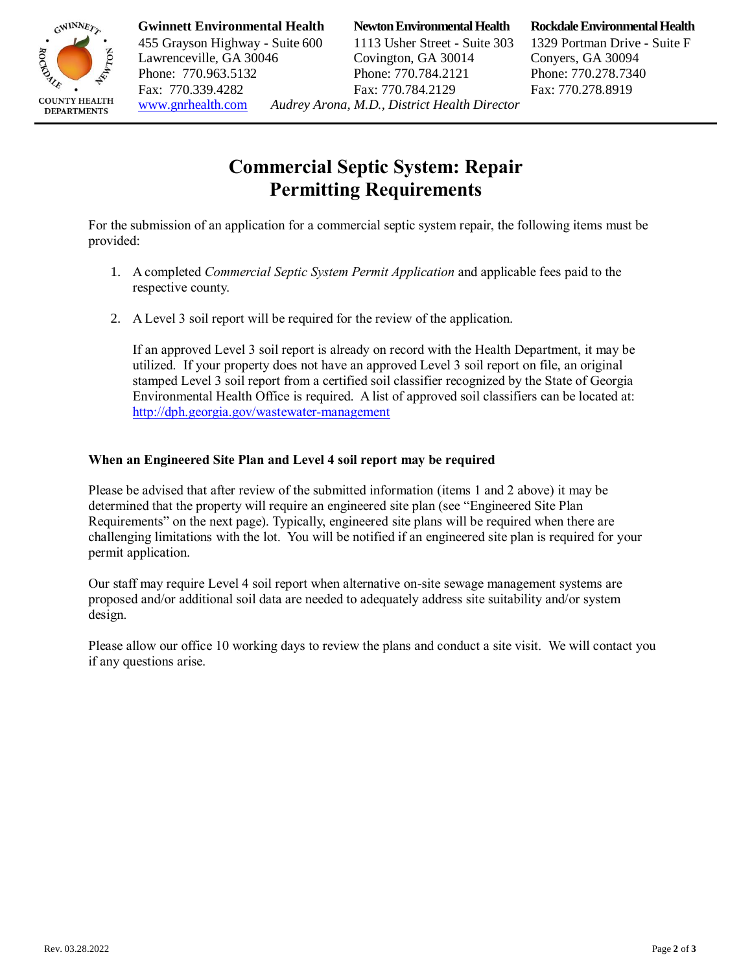

**Gwinnett Environmental Health Newton Environmental Health Rockdale Environmental Health**

455 Grayson Highway - Suite 600 1113 Usher Street - Suite 303 1329 Portman Drive - Suite F Lawrenceville, GA 30046 Covington, GA 30014 Conyers, GA 30094 Phone: 770.963.5132 Phone: 770.784.2121 Phone: 770.278.7340 Fax: 770.339.4282 Fax: 770.784.2129 Fax: 770.278.8919 [www.gnrhealth.com](http://www.gnrhealth.com/) *Audrey Arona, M.D., District Health Director* 

## **Commercial Septic System: Repair Permitting Requirements**

For the submission of an application for a commercial septic system repair, the following items must be provided:

- 1. A completed *Commercial Septic System Permit Application* and applicable fees paid to the respective county.
- 2. A Level 3 soil report will be required for the review of the application.

If an approved Level 3 soil report is already on record with the Health Department, it may be utilized. If your property does not have an approved Level 3 soil report on file, an original stamped Level 3 soil report from a certified soil classifier recognized by the State of Georgia Environmental Health Office is required. A list of approved soil classifiers can be located at: <http://dph.georgia.gov/wastewater-management>

## **When an Engineered Site Plan and Level 4 soil report may be required**

Please be advised that after review of the submitted information (items 1 and 2 above) it may be determined that the property will require an engineered site plan (see "Engineered Site Plan Requirements" on the next page). Typically, engineered site plans will be required when there are challenging limitations with the lot. You will be notified if an engineered site plan is required for your permit application.

Our staff may require Level 4 soil report when alternative on-site sewage management systems are proposed and/or additional soil data are needed to adequately address site suitability and/or system design.

Please allow our office 10 working days to review the plans and conduct a site visit. We will contact you if any questions arise.